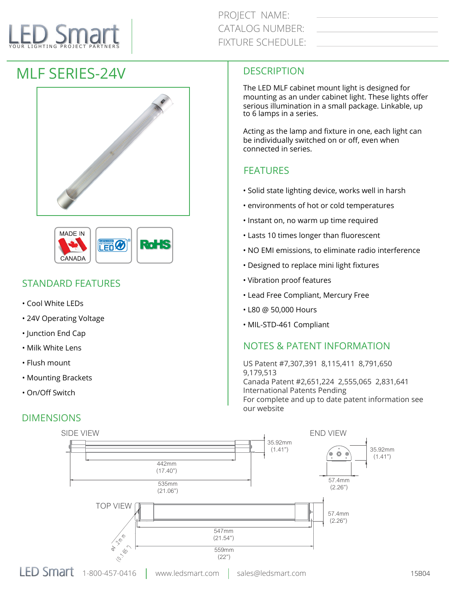# YOUR LIGHTING PROJECT PARTNERS

## MLF SERIES-24V





### STANDARD FEATURES

- Cool White LEDs
- 24V Operating Voltage
- Junction End Cap
- Milk White Lens
- Flush mount
- Mounting Brackets
- On/Off Switch

#### DIMENSIONS

#### **DESCRIPTION**

The LED MLF cabinet mount light is designed for mounting as an under cabinet light. These lights offer serious illumination in a small package. Linkable, up to 6 lamps in a series.

Acting as the lamp and fixture in one, each light can be individually switched on or off, even when connected in series.

#### **FEATURES**

- Solid state lighting device, works well in harsh
- environments of hot or cold temperatures
- Instant on, no warm up time required
- Lasts 10 times longer than fluorescent
- NO EMI emissions, to eliminate radio interference
- Designed to replace mini light fixtures
- Vibration proof features
- Lead Free Compliant, Mercury Free
- L80 @ 50,000 Hours
- MIL-STD-461 Compliant

#### NOTES & PATENT INFORMATION

US Patent #7,307,391 8,115,411 8,791,650 9,179,513 Canada Patent #2,651,224 2,555,065 2,831,641 International Patents Pending For complete and up to date patent information see our website